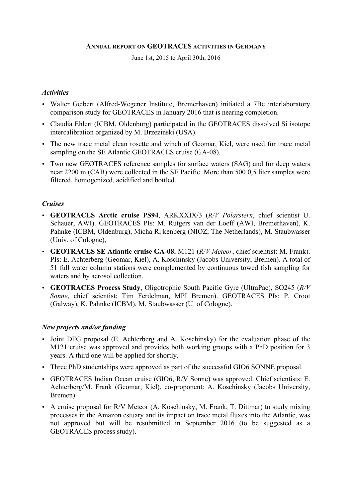#### **ANNUAL REPORT ON GEOTRACES ACTIVITIES IN GERMANY**

June 1st, 2015 to April 30th, 2016

## *Activities*

- Walter Geibert (Alfred-Wegener Institute, Bremerhaven) initiated a 7Be interlaboratory comparison study for GEOTRACES in January 2016 that is nearing completion.
- Claudia Ehlert (ICBM, Oldenburg) participated in the GEOTRACES dissolved Si isotope intercalibration organized by M. Brzezinski (USA).
- The new trace metal clean rosette and winch of Geomar, Kiel, were used for trace metal sampling on the SE Atlantic GEOTRACES cruise (GA-08).
- Two new GEOTRACES reference samples for surface waters (SAG) and for deep waters near 2200 m (CAB) were collected in the SE Pacific. More than 500 0,5 liter samples were filtered, homogenized, acidified and bottled.

## *Cruises*

- **GEOTRACES Arctic cruise PS94**, ARKXXIX/3 (*R/V Polarstern*, chief scientist U. Schauer, AWI). GEOTRACES PIs: M. Rutgers van der Loeff (AWI, Bremerhaven), K. Pahnke (ICBM, Oldenburg), Micha Rijkenberg (NIOZ, The Netherlands), M. Staubwasser (Univ. of Cologne),
- **GEOTRACES SE Atlantic cruise GA-08**, M121 (*R/V Meteor*, chief scientist: M. Frank). PIs: E. Achterberg (Geomar, Kiel), A. Koschinsky (Jacobs University, Bremen). A total of 51 full water column stations were complemented by continuous towed fish sampling for waters and by aerosol collection.
- **GEOTRACES Process Study**, Oligotrophic South Pacific Gyre (UltraPac), SO245 (*R/V Sonne*, chief scientist: Tim Ferdelman, MPI Bremen). GEOTRACES PIs: P. Croot (Galway), K. Pahnke (ICBM), M. Staubwasser (U. of Cologne).

# *New projects and/or funding*

- Joint DFG proposal (E. Achterberg and A. Koschinsky) for the evaluation phase of the M121 cruise was approved and provides both working groups with a PhD position for 3 years. A third one will be applied for shortly.
- Three PhD studentships were approved as part of the successful GIO6 SONNE proposal.
- GEOTRACES Indian Ocean cruise (GIO6, R/V Sonne) was approved. Chief scientists: E. Achterberg/M. Frank (Geomar, Kiel), co-proponent: A. Koschinsky (Jacobs University, Bremen).
- A cruise proposal for R/V Meteor (A. Koschinsky, M. Frank, T. Dittmar) to study mixing processes in the Amazon estuary and its impact on trace metal fluxes into the Atlantic, was not approved but will be resubmitted in September 2016 (to be suggested as a GEOTRACES process study).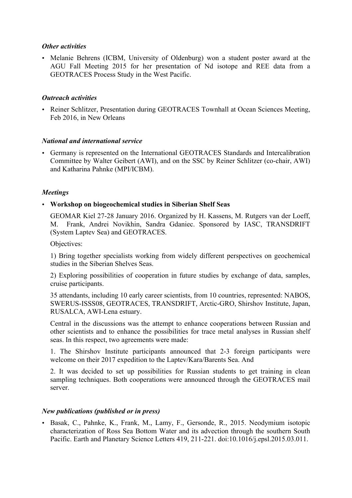#### *Other activities*

• Melanie Behrens (ICBM, University of Oldenburg) won a student poster award at the AGU Fall Meeting 2015 for her presentation of Nd isotope and REE data from a GEOTRACES Process Study in the West Pacific.

#### *Outreach activities*

• Reiner Schlitzer, Presentation during GEOTRACES Townhall at Ocean Sciences Meeting, Feb 2016, in New Orleans

## *National and international service*

• Germany is represented on the International GEOTRACES Standards and Intercalibration Committee by Walter Geibert (AWI), and on the SSC by Reiner Schlitzer (co-chair, AWI) and Katharina Pahnke (MPI/ICBM).

## *Meetings*

## • **Workshop on biogeochemical studies in Siberian Shelf Seas**

GEOMAR Kiel 27-28 January 2016. Organized by H. Kassens, M. Rutgers van der Loeff, M. Frank, Andrei Novikhin, Sandra Gdaniec. Sponsored by IASC, TRANSDRIFT (System Laptev Sea) and GEOTRACES.

Objectives:

1) Bring together specialists working from widely different perspectives on geochemical studies in the Siberian Shelves Seas.

2) Exploring possibilities of cooperation in future studies by exchange of data, samples, cruise participants.

35 attendants, including 10 early career scientists, from 10 countries, represented: NABOS, SWERUS-ISSS08, GEOTRACES, TRANSDRIFT, Arctic-GRO, Shirshov Institute, Japan, RUSALCA, AWI-Lena estuary.

Central in the discussions was the attempt to enhance cooperations between Russian and other scientists and to enhance the possibilities for trace metal analyses in Russian shelf seas. In this respect, two agreements were made:

1. The Shirshov Institute participants announced that 2-3 foreign participants were welcome on their 2017 expedition to the Laptev/Kara/Barents Sea. And

2. It was decided to set up possibilities for Russian students to get training in clean sampling techniques. Both cooperations were announced through the GEOTRACES mail server.

## *New publications (published or in press)*

• Basak, C., Pahnke, K., Frank, M., Lamy, F., Gersonde, R., 2015. Neodymium isotopic characterization of Ross Sea Bottom Water and its advection through the southern South Pacific. Earth and Planetary Science Letters 419, 211-221. doi:10.1016/j.epsl.2015.03.011.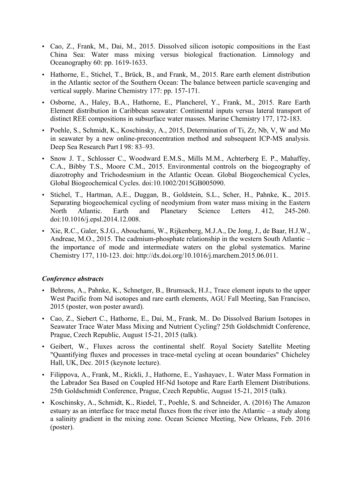- Cao, Z., Frank, M., Dai, M., 2015. Dissolved silicon isotopic compositions in the East China Sea: Water mass mixing versus biological fractionation. Limnology and Oceanography 60: pp. 1619-1633.
- Hathorne, E., Stichel, T., Brück, B., and Frank, M., 2015. Rare earth element distribution in the Atlantic sector of the Southern Ocean: The balance between particle scavenging and vertical supply. Marine Chemistry 177: pp. 157-171.
- Osborne, A., Haley, B.A., Hathorne, E., Plancherel, Y., Frank, M., 2015. Rare Earth Element distribution in Caribbean seawater: Continental inputs versus lateral transport of distinct REE compositions in subsurface water masses. Marine Chemistry 177, 172-183.
- Poehle, S., Schmidt, K., Koschinsky, A., 2015, Determination of Ti, Zr, Nb, V, W and Mo in seawater by a new online-preconcentration method and subsequent ICP-MS analysis. Deep Sea Research Part I 98: 83–93.
- Snow J. T., Schlosser C., Woodward E.M.S., Mills M.M., Achterberg E. P., Mahaffey, C.A., Bibby T.S., Moore C.M., 2015. Environmental controls on the biogeography of diazotrophy and Trichodesmium in the Atlantic Ocean. Global Biogeochemical Cycles, Global Biogeochemical Cycles. doi:10.1002/2015GB005090.
- Stichel, T., Hartman, A.E., Duggan, B., Goldstein, S.L., Scher, H., Pahnke, K., 2015. Separating biogeochemical cycling of neodymium from water mass mixing in the Eastern North Atlantic. Earth and Planetary Science Letters 412, 245-260. doi:10.1016/j.epsl.2014.12.008.
- Xie, R.C., Galer, S.J.G., Abouchami, W., Rijkenberg, M.J.A., De Jong, J., de Baar, H.J.W., Andreae, M.O., 2015. The cadmium-phosphate relationship in the western South Atlantic – the importance of mode and intermediate waters on the global systematics. Marine Chemistry 177, 110-123. doi: http://dx.doi.org/10.1016/j.marchem.2015.06.011.

# *Conference abstracts*

- Behrens, A., Pahnke, K., Schnetger, B., Brumsack, H.J., Trace element inputs to the upper West Pacific from Nd isotopes and rare earth elements, AGU Fall Meeting, San Francisco, 2015 (poster, won poster award).
- Cao, Z., Siebert C., Hathorne, E., Dai, M., Frank, M.. Do Dissolved Barium Isotopes in Seawater Trace Water Mass Mixing and Nutrient Cycling? 25th Goldschmidt Conference, Prague, Czech Republic, August 15-21, 2015 (talk).
- Geibert, W., Fluxes across the continental shelf. Royal Society Satellite Meeting "Quantifying fluxes and processes in trace-metal cycling at ocean boundaries" Chicheley Hall, UK, Dec. 2015 (keynote lecture).
- Filippova, A., Frank, M., Rickli, J., Hathorne, E., Yashayaev, I.. Water Mass Formation in the Labrador Sea Based on Coupled Hf-Nd Isotope and Rare Earth Element Distributions. 25th Goldschmidt Conference, Prague, Czech Republic, August 15-21, 2015 (talk).
- Koschinsky, A., Schmidt, K., Riedel, T., Poehle, S. and Schneider, A. (2016) The Amazon estuary as an interface for trace metal fluxes from the river into the Atlantic – a study along a salinity gradient in the mixing zone. Ocean Science Meeting, New Orleans, Feb. 2016 (poster).